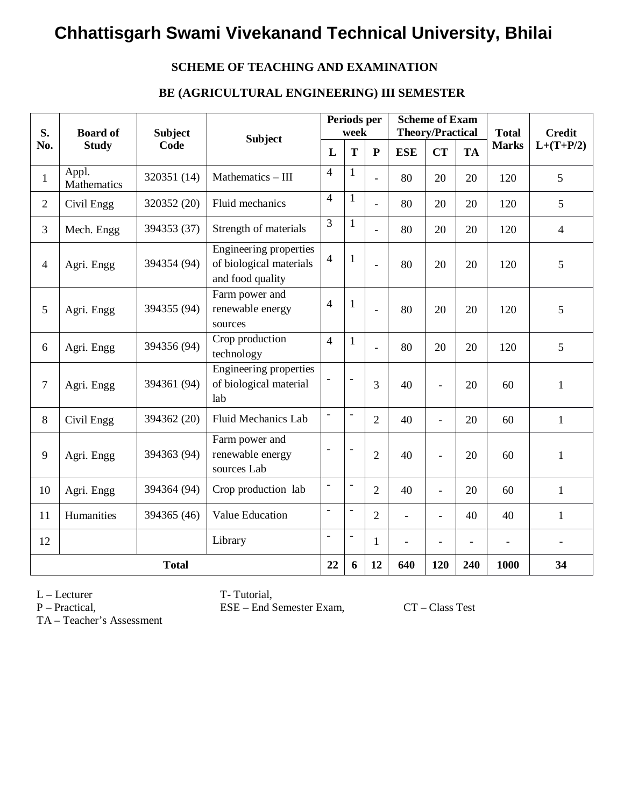### **SCHEME OF TEACHING AND EXAMINATION**

### **BE (AGRICULTURAL ENGINEERING) III SEMESTER**

| S.             | <b>Board of</b>      | <b>Subject</b> | <b>Subject</b>                                                               |                          | Periods per<br>week      |                |                          | <b>Scheme of Exam</b><br><b>Theory/Practical</b> |           | <b>Total</b> | <b>Credit</b>  |
|----------------|----------------------|----------------|------------------------------------------------------------------------------|--------------------------|--------------------------|----------------|--------------------------|--------------------------------------------------|-----------|--------------|----------------|
| No.            | <b>Study</b>         | Code           |                                                                              | L                        | T                        | ${\bf P}$      | <b>ESE</b>               | <b>CT</b>                                        | <b>TA</b> | <b>Marks</b> | $L+(T+P/2)$    |
| $\mathbf{1}$   | Appl.<br>Mathematics | 320351 (14)    | Mathematics - III                                                            | $\overline{4}$           | $\mathbf{1}$             | $\overline{a}$ | 80                       | 20                                               | 20        | 120          | 5              |
| $\overline{2}$ | Civil Engg           | 320352 (20)    | Fluid mechanics                                                              | $\overline{4}$           | 1                        | $\overline{a}$ | 80                       | 20                                               | 20        | 120          | 5              |
| 3              | Mech. Engg           | 394353 (37)    | Strength of materials                                                        | 3                        | 1                        | $\overline{a}$ | 80                       | 20                                               | 20        | 120          | $\overline{4}$ |
| $\overline{4}$ | Agri. Engg           | 394354 (94)    | <b>Engineering properties</b><br>of biological materials<br>and food quality | $\overline{4}$           | $\mathbf{1}$             | $\overline{a}$ | 80                       | 20                                               | 20        | 120          | 5              |
| 5              | Agri. Engg           | 394355 (94)    | Farm power and<br>renewable energy<br>sources                                | $\overline{4}$           | $\mathbf{1}$             | $\overline{a}$ | 80                       | 20                                               | 20        | 120          | 5              |
| 6              | Agri. Engg           | 394356 (94)    | Crop production<br>technology                                                | $\overline{4}$           | $\mathbf{1}$             | $\equiv$       | 80                       | 20                                               | 20        | 120          | 5              |
| $\overline{7}$ | Agri. Engg           | 394361 (94)    | Engineering properties<br>of biological material<br>lab                      | $\overline{\phantom{a}}$ | $\overline{\phantom{a}}$ | $\overline{3}$ | 40                       | $\overline{\phantom{a}}$                         | 20        | 60           | $\mathbf{1}$   |
| 8              | Civil Engg           | 394362 (20)    | <b>Fluid Mechanics Lab</b>                                                   | $\overline{\phantom{a}}$ |                          | $\overline{2}$ | 40                       | $\bar{\phantom{a}}$                              | 20        | 60           | $\mathbf{1}$   |
| 9              | Agri. Engg           | 394363 (94)    | Farm power and<br>renewable energy<br>sources Lab                            | L,                       | $\sim$                   | $\overline{2}$ | 40                       | $\overline{a}$                                   | 20        | 60           | $\mathbf{1}$   |
| 10             | Agri. Engg           | 394364 (94)    | Crop production lab                                                          | $\blacksquare$           | $\overline{\phantom{a}}$ | $\overline{2}$ | 40                       | $\blacksquare$                                   | 20        | 60           | $\mathbf{1}$   |
| 11             | Humanities           | 394365 (46)    | Value Education                                                              | $\overline{a}$           | $\overline{a}$           | $\overline{2}$ | $\overline{\phantom{0}}$ | $\overline{\phantom{a}}$                         | 40        | 40           | $\mathbf{1}$   |
| 12             |                      | Library        |                                                                              | $\overline{\phantom{a}}$ | $\overline{\phantom{a}}$ | $\mathbf{1}$   | $\overline{\phantom{a}}$ | $\blacksquare$                                   |           |              |                |
|                | <b>Total</b>         |                |                                                                              |                          | 6                        | 12             | 640                      | 120                                              | 240       | 1000         | 34             |

L – Lecturer T- Tutorial,

P – Practical, ESE – End Semester Exam, CT – Class Test

TA – Teacher's Assessment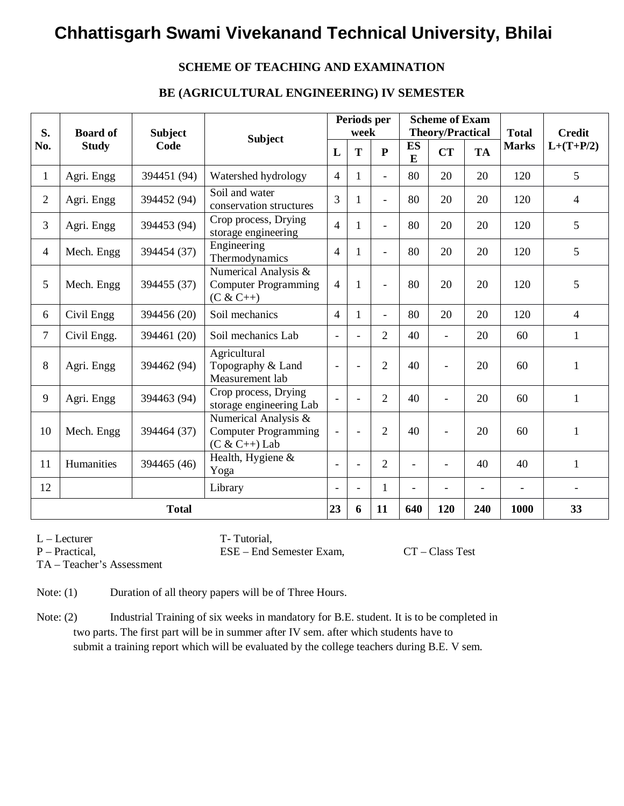### **SCHEME OF TEACHING AND EXAMINATION**

#### **BE (AGRICULTURAL ENGINEERING) IV SEMESTER**

| S.             | <b>Board of</b> | <b>Subject</b> | <b>Subject</b><br>L                                                    |                          | week                     | Periods per              |                | <b>Scheme of Exam</b><br><b>Theory/Practical</b> |                          | <b>Total</b>   | <b>Credit</b>  |  |
|----------------|-----------------|----------------|------------------------------------------------------------------------|--------------------------|--------------------------|--------------------------|----------------|--------------------------------------------------|--------------------------|----------------|----------------|--|
| No.            | <b>Study</b>    | Code           |                                                                        |                          | T                        | ${\bf P}$                | <b>ES</b><br>E | <b>CT</b>                                        | <b>TA</b>                | <b>Marks</b>   | $L+(T+P/2)$    |  |
| $\mathbf{1}$   | Agri. Engg      | 394451 (94)    | Watershed hydrology                                                    | $\overline{4}$           | $\mathbf{1}$             | $\overline{a}$           | 80             | 20                                               | 20                       | 120            | 5              |  |
| $\overline{2}$ | Agri. Engg      | 394452 (94)    | Soil and water<br>conservation structures                              | 3                        | 1                        | $\overline{\phantom{a}}$ | 80             | 20                                               | 20                       | 120            | $\overline{4}$ |  |
| 3              | Agri. Engg      | 394453 (94)    | Crop process, Drying<br>storage engineering                            | $\overline{4}$           | 1                        | $\equiv$                 | 80             | 20                                               | 20                       | 120            | 5              |  |
| 4              | Mech. Engg      | 394454 (37)    | Engineering<br>Thermodynamics                                          | $\overline{4}$           | $\mathbf{1}$             | $\equiv$                 | 80             | 20                                               | 20                       | 120            | 5              |  |
| 5              | Mech. Engg      | 394455 (37)    | Numerical Analysis &<br><b>Computer Programming</b><br>$(C & C++)$     |                          | $\mathbf{1}$             | $\blacksquare$           | 80             | 20                                               | 20                       | 120            | 5              |  |
| 6              | Civil Engg      | 394456 (20)    | Soil mechanics                                                         |                          | $\mathbf{1}$             | $\overline{\phantom{a}}$ | 80             | 20                                               | 20                       | 120            | $\overline{4}$ |  |
| $\overline{7}$ | Civil Engg.     | 394461 (20)    | Soil mechanics Lab                                                     |                          | $\overline{a}$           | $\overline{2}$           | 40             | $\sim$                                           | 20                       | 60             | $\mathbf{1}$   |  |
| 8              | Agri. Engg      | 394462 (94)    | Agricultural<br>Topography & Land<br>Measurement lab                   | $\overline{\phantom{a}}$ | $\overline{\phantom{a}}$ | $\overline{2}$           | 40             | $\blacksquare$                                   | 20                       | 60             | 1              |  |
| 9              | Agri. Engg      | 394463 (94)    | Crop process, Drying<br>storage engineering Lab                        |                          |                          | $\overline{2}$           | 40             | $\overline{\phantom{0}}$                         | 20                       | 60             | $\mathbf{1}$   |  |
| 10             | Mech. Engg      | 394464 (37)    | Numerical Analysis &<br><b>Computer Programming</b><br>$(C & C++)$ Lab | $\overline{\phantom{a}}$ | $\overline{\phantom{a}}$ | $\overline{2}$           | 40             | $\equiv$                                         | 20                       | 60             | $\mathbf{1}$   |  |
| 11             | Humanities      | 394465 (46)    | Health, Hygiene &<br>Yoga                                              | $\overline{\phantom{a}}$ | $\blacksquare$           | $\overline{2}$           |                |                                                  | 40                       | 40             | $\mathbf{1}$   |  |
| 12             |                 |                | Library                                                                | $\overline{\phantom{a}}$ | $\blacksquare$           | 1                        | $\blacksquare$ | $\overline{\phantom{0}}$                         | $\overline{\phantom{0}}$ | $\blacksquare$ | $\blacksquare$ |  |
|                | <b>Total</b>    |                |                                                                        |                          | 6                        | 11                       | 640            | 120                                              | 240                      | 1000           | 33             |  |

L – Lecturer T- Tutorial,

P – Practical, ESE – End Semester Exam, CT – Class Test

TA – Teacher's Assessment

Note: (1) Duration of all theory papers will be of Three Hours.

Note: (2) Industrial Training of six weeks in mandatory for B.E. student. It is to be completed in two parts. The first part will be in summer after IV sem. after which students have to submit a training report which will be evaluated by the college teachers during B.E. V sem.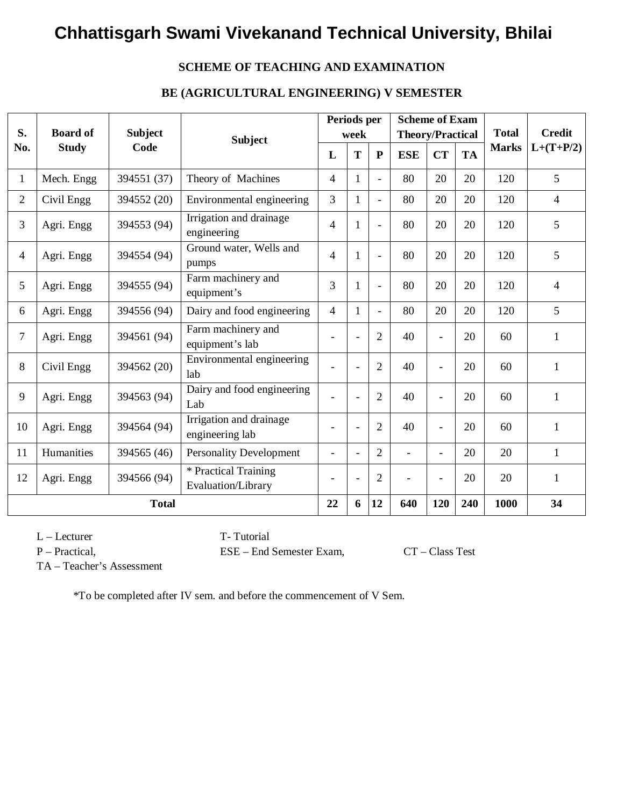### **SCHEME OF TEACHING AND EXAMINATION**

### **BE (AGRICULTURAL ENGINEERING) V SEMESTER**

| S.             | <b>Board of</b> | <b>Subject</b> |                                            |                | Periods per<br>week      |                | <b>Scheme of Exam</b><br><b>Theory/Practical</b> |                |           | <b>Total</b> | <b>Credit</b>            |
|----------------|-----------------|----------------|--------------------------------------------|----------------|--------------------------|----------------|--------------------------------------------------|----------------|-----------|--------------|--------------------------|
| No.            | <b>Study</b>    | Code           | <b>Subject</b>                             | L              | T                        | ${\bf P}$      | <b>ESE</b>                                       | <b>CT</b>      | <b>TA</b> | <b>Marks</b> | $L+(T+P/2)$              |
| $\mathbf{1}$   | Mech. Engg      | 394551 (37)    | Theory of Machines                         | 4              | $\mathbf{1}$             | $\blacksquare$ | 80                                               | 20             | 20        | 120          | 5                        |
| $\overline{2}$ | Civil Engg      | 394552 (20)    | Environmental engineering                  | 3              | $\mathbf{1}$             | $\blacksquare$ | 80                                               | 20             | 20        | 120          | $\overline{4}$           |
| 3              | Agri. Engg      | 394553 (94)    | Irrigation and drainage<br>engineering     | 4              | 1                        | $\equiv$       | 80                                               | 20             | 20        | 120          | 5                        |
| 4              | Agri. Engg      | 394554 (94)    | Ground water, Wells and<br>pumps           | 4              | 1                        | $\blacksquare$ | 80                                               | 20             | 20        | 120          | 5                        |
| 5              | Agri. Engg      | 394555 (94)    | Farm machinery and<br>equipment's          | 3              | 1                        | $\blacksquare$ | 80                                               | 20             | 20        | 120          | $\overline{\mathcal{L}}$ |
| 6              | Agri. Engg      | 394556 (94)    | Dairy and food engineering                 | $\overline{4}$ | 1                        | $\blacksquare$ | 80                                               | 20             | 20        | 120          | 5                        |
| 7              | Agri. Engg      | 394561 (94)    | Farm machinery and<br>equipment's lab      |                |                          | $\overline{2}$ | 40                                               |                | 20        | 60           | $\mathbf{1}$             |
| 8              | Civil Engg      | 394562 (20)    | Environmental engineering<br>lab           |                | $\overline{a}$           | $\overline{2}$ | 40                                               | $\overline{a}$ | 20        | 60           | $\mathbf{1}$             |
| 9              | Agri. Engg      | 394563 (94)    | Dairy and food engineering<br>Lab          |                | $\overline{\phantom{a}}$ | $\overline{2}$ | 40                                               |                | 20        | 60           | $\mathbf{1}$             |
| 10             | Agri. Engg      | 394564 (94)    | Irrigation and drainage<br>engineering lab |                | $\overline{\phantom{a}}$ | $\overline{2}$ | 40                                               | $\overline{a}$ | 20        | 60           | 1                        |
| 11             | Humanities      | 394565 (46)    | <b>Personality Development</b>             | $\sim$         | $\blacksquare$           | $\overline{2}$ | $\overline{a}$                                   | $\overline{a}$ | 20        | 20           | $\mathbf{1}$             |
| 12             | Agri. Engg      | 394566 (94)    | * Practical Training<br>Evaluation/Library |                | $\overline{a}$           | $\overline{2}$ | $\blacksquare$                                   |                | 20        | 20           | $\mathbf{1}$             |
|                |                 | <b>Total</b>   |                                            | 22             | 6                        | 12             | 640                                              | 120            | 240       | 1000         | 34                       |

L – Lecturer T- Tutorial

P – Practical, ESE – End Semester Exam, CT – Class Test

TA – Teacher's Assessment

\*To be completed after IV sem. and before the commencement of V Sem.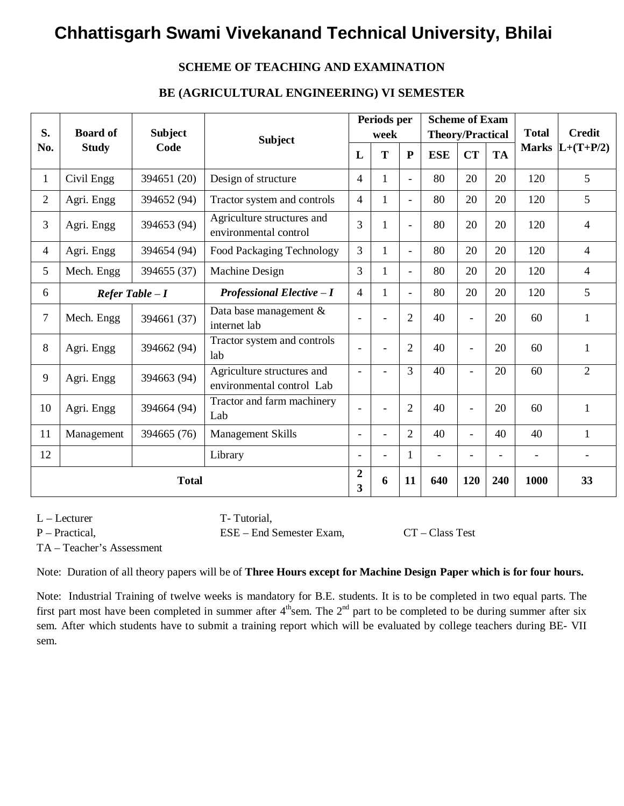### **SCHEME OF TEACHING AND EXAMINATION**

### **BE (AGRICULTURAL ENGINEERING) VI SEMESTER**

| S.             | <b>Board of</b>  | <b>Subject</b> | <b>Subject</b><br>L                                     |                     | Periods per<br>week      |                          |                          | <b>Scheme of Exam</b><br><b>Theory/Practical</b> |                | <b>Total</b>   | <b>Credit</b>     |
|----------------|------------------|----------------|---------------------------------------------------------|---------------------|--------------------------|--------------------------|--------------------------|--------------------------------------------------|----------------|----------------|-------------------|
| No.            | <b>Study</b>     | Code           |                                                         |                     | T                        | $\mathbf{P}$             | <b>ESE</b>               | <b>CT</b>                                        | <b>TA</b>      |                | Marks $L+(T+P/2)$ |
| $\mathbf{1}$   | Civil Engg       | 394651 (20)    | Design of structure                                     |                     | $\mathbf{1}$             | $\overline{\phantom{a}}$ | 80                       | 20                                               | 20             | 120            | 5                 |
| $\overline{2}$ | Agri. Engg       | 394652 (94)    | Tractor system and controls                             | 4                   | $\mathbf{1}$             | $\blacksquare$           | 80                       | 20                                               | 20             | 120            | 5                 |
| 3              | Agri. Engg       | 394653 (94)    | Agriculture structures and<br>environmental control     | 3                   | $\mathbf{1}$             | $\overline{a}$           | 80                       | 20                                               | 20             | 120            | 4                 |
| $\overline{4}$ | Agri. Engg       | 394654 (94)    | Food Packaging Technology                               | $\overline{3}$      | $\mathbf{1}$             | $\overline{a}$           | 80                       | 20                                               | 20             | 120            | $\overline{4}$    |
| 5              | Mech. Engg       | 394655 (37)    | Machine Design                                          | 3                   | $\mathbf{1}$             | $\blacksquare$           | 80                       | 20                                               | 20             | 120            | $\overline{4}$    |
| 6              | Refer Table $-I$ |                | <b>Professional Elective - I</b>                        | 4                   | $\mathbf{1}$             | $\blacksquare$           | 80                       | 20                                               | 20             | 120            | 5                 |
| $\overline{7}$ | Mech. Engg       | 394661 (37)    | Data base management &<br>internet lab                  | $\blacksquare$      | $\overline{a}$           | $\overline{2}$           | 40                       | $\blacksquare$                                   | 20             | 60             | 1                 |
| 8              | Agri. Engg       | 394662 (94)    | Tractor system and controls<br>lab                      | $\blacksquare$      |                          | $\overline{2}$           | 40                       | $\blacksquare$                                   | 20             | 60             | 1                 |
| 9              | Agri. Engg       | 394663 (94)    | Agriculture structures and<br>environmental control Lab | $\blacksquare$      | $\overline{\phantom{a}}$ | 3                        | 40                       | $\overline{\phantom{a}}$                         | 20             | 60             | $\overline{2}$    |
| 10             | Agri. Engg       | 394664 (94)    | Tractor and farm machinery<br>Lab                       | $\blacksquare$      | $\overline{\phantom{a}}$ | $\overline{2}$           | 40                       | $\overline{\phantom{a}}$                         | 20             | 60             | $\mathbf{1}$      |
| 11             | Management       | 394665 (76)    | <b>Management Skills</b>                                |                     | $\overline{a}$           | $\overline{2}$           | 40                       | $\blacksquare$                                   | 40             | 40             | $\mathbf{1}$      |
| 12             |                  |                | Library                                                 | $\blacksquare$      | $\blacksquare$           | 1                        | $\overline{\phantom{a}}$ | $\blacksquare$                                   | $\blacksquare$ | $\blacksquare$ |                   |
|                | <b>Total</b>     |                |                                                         | $\overline{2}$<br>3 | 6                        | 11                       | 640                      | 120                                              | 240            | 1000           | 33                |

L – Lecturer T- Tutorial,

P – Practical, ESE – End Semester Exam, CT – Class Test

TA – Teacher's Assessment

Note: Duration of all theory papers will be of **Three Hours except for Machine Design Paper which is for four hours.**

Note: Industrial Training of twelve weeks is mandatory for B.E. students. It is to be completed in two equal parts. The first part most have been completed in summer after  $4<sup>th</sup>$ sem. The  $2<sup>nd</sup>$  part to be completed to be during summer after six sem. After which students have to submit a training report which will be evaluated by college teachers during BE- VII sem.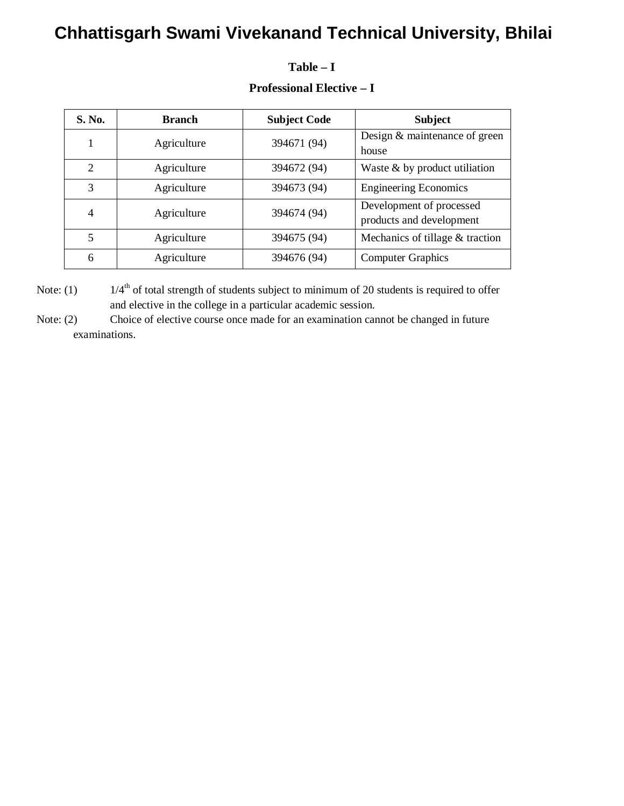### **S.** No. **Branch Subject Code Subject** 1 Agriculture 394671 (94) Design & maintenance of green house 2 | Agriculture | 394672 (94) | Waste & by product utiliation 3 Agriculture 394673 (94) Engineering Economics 4 Agriculture 394674 (94) Development of processed products and development 5 Agriculture 394675 (94) Mechanics of tillage & traction 6 Agriculture 394676 (94) Computer Graphics

### **Professional Elective – I**

**Table – I**

Note: (1)  $1/4^{\text{th}}$  of total strength of students subject to minimum of 20 students is required to offer and elective in the college in a particular academic session.

Note: (2) Choice of elective course once made for an examination cannot be changed in future examinations.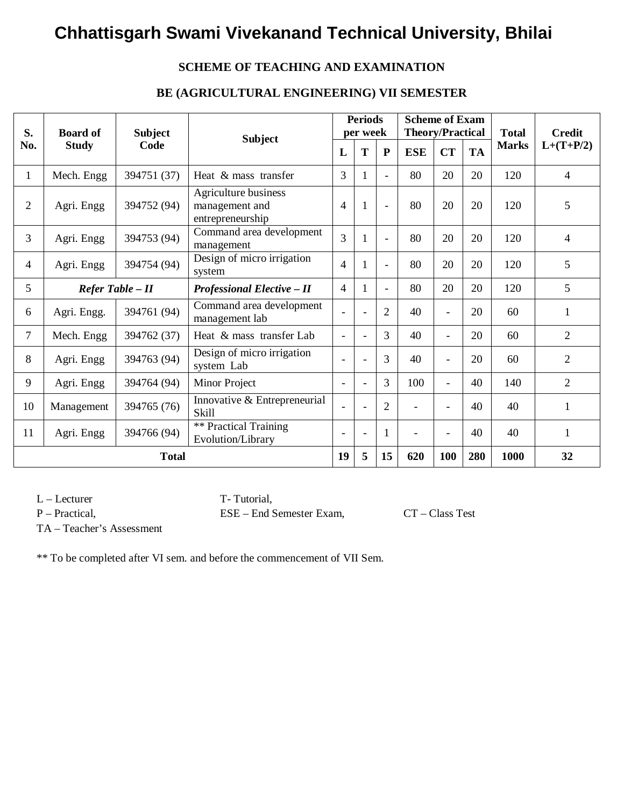### **SCHEME OF TEACHING AND EXAMINATION**

### **BE (AGRICULTURAL ENGINEERING) VII SEMESTER**

| S.              | <b>Board of</b>                                          | <b>Subject</b><br><b>Subject</b> |                                                            |                          | <b>Periods</b><br>per week |                          | <b>Scheme of Exam</b><br><b>Theory/Practical</b> |                          |           | <b>Total</b> | <b>Credit</b>  |
|-----------------|----------------------------------------------------------|----------------------------------|------------------------------------------------------------|--------------------------|----------------------------|--------------------------|--------------------------------------------------|--------------------------|-----------|--------------|----------------|
| No.             | <b>Study</b>                                             | Code                             |                                                            |                          | T                          | ${\bf P}$                | <b>ESE</b>                                       | <b>CT</b>                | <b>TA</b> | <b>Marks</b> | $L+(T+P/2)$    |
| $\mathbf{1}$    | Mech. Engg                                               | 394751 (37)                      | Heat & mass transfer                                       | 3                        | 1                          | $\sim$                   | 80                                               | 20                       | 20        | 120          | $\overline{4}$ |
| $\overline{2}$  | Agri. Engg                                               | 394752 (94)                      | Agriculture business<br>management and<br>entrepreneurship |                          | 1                          | $\sim$                   | 80                                               | 20                       | 20        | 120          | 5              |
| $\overline{3}$  | Agri. Engg                                               | 394753 (94)                      | Command area development<br>management                     |                          |                            | $\blacksquare$           | 80                                               | 20                       | 20        | 120          | $\overline{4}$ |
| $\overline{4}$  | Agri. Engg                                               | 394754 (94)                      | Design of micro irrigation<br>system                       | 4                        |                            | $\overline{\phantom{a}}$ | 80                                               | 20                       | 20        | 120          | 5              |
| $5\overline{)}$ | $Refer$ Table $-II$<br><b>Professional Elective - II</b> |                                  | 4                                                          |                          | $\blacksquare$             | 80                       | 20                                               | 20                       | 120       | 5            |                |
| 6               | Agri. Engg.                                              | 394761 (94)                      | Command area development<br>management lab                 | -                        | $\overline{\phantom{a}}$   | $\overline{2}$           | 40                                               | $\overline{\phantom{a}}$ | 20        | 60           | 1              |
| $\overline{7}$  | Mech. Engg                                               | 394762 (37)                      | Heat & mass transfer Lab                                   | $\overline{\phantom{0}}$ | $\overline{\phantom{a}}$   | 3                        | 40                                               | $\overline{\phantom{a}}$ | 20        | 60           | $\overline{2}$ |
| 8               | Agri. Engg                                               | 394763 (94)                      | Design of micro irrigation<br>system Lab                   | ۰                        | $\overline{\phantom{a}}$   | 3                        | 40                                               | $\overline{\phantom{a}}$ | 20        | 60           | 2              |
| 9               | Agri. Engg                                               | 394764 (94)                      | Minor Project                                              | $\overline{\phantom{a}}$ |                            | 3                        | 100                                              | $\overline{a}$           | 40        | 140          | $\overline{2}$ |
| 10              | Management                                               | 394765 (76)                      | Innovative & Entrepreneurial<br>Skill                      |                          |                            | $\overline{2}$           |                                                  |                          | 40        | 40           | $\mathbf{1}$   |
| 11              | Agri. Engg                                               | 394766 (94)                      | ** Practical Training<br>Evolution/Library                 |                          | $\overline{\phantom{a}}$   | 1                        |                                                  |                          | 40        | 40           | $\mathbf{1}$   |
|                 | <b>Total</b>                                             |                                  |                                                            | 19                       | 5                          | 15                       | 620                                              | 100                      | 280       | 1000         | 32             |

L – Lecturer T- Tutorial,

P – Practical, ESE – End Semester Exam, CT – Class Test

TA – Teacher's Assessment

\*\* To be completed after VI sem. and before the commencement of VII Sem.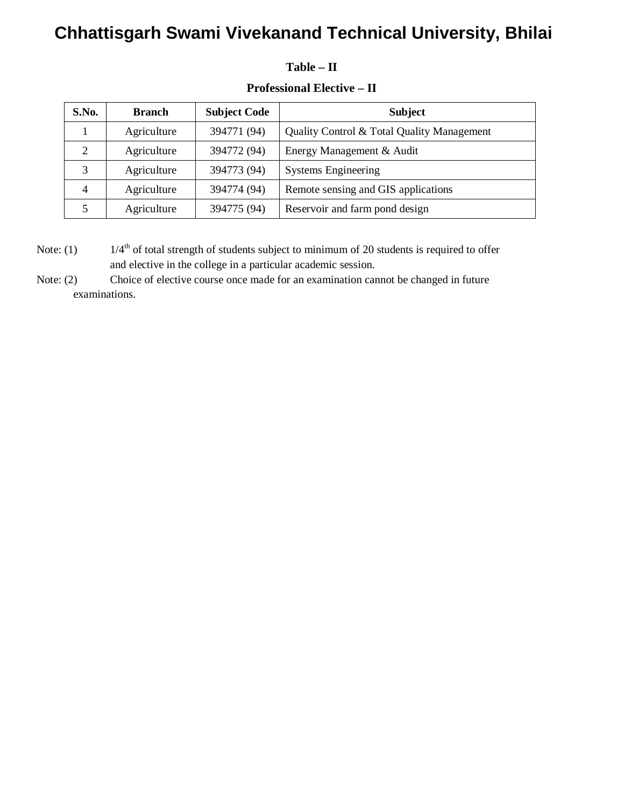### **Table – II**

| <b>Professional Elective – II</b> |
|-----------------------------------|
|                                   |

| S.No. | <b>Branch</b> | <b>Subject Code</b> | <b>Subject</b>                             |  |  |  |
|-------|---------------|---------------------|--------------------------------------------|--|--|--|
|       | Agriculture   | 394771 (94)         | Quality Control & Total Quality Management |  |  |  |
|       | Agriculture   | 394772 (94)         | Energy Management & Audit                  |  |  |  |
| 3     | Agriculture   | 394773 (94)         | <b>Systems Engineering</b>                 |  |  |  |
| 4     | Agriculture   | 394774 (94)         | Remote sensing and GIS applications        |  |  |  |
|       | Agriculture   | 394775 (94)         | Reservoir and farm pond design             |  |  |  |

Note: (1)  $1/4^{\text{th}}$  of total strength of students subject to minimum of 20 students is required to offer and elective in the college in a particular academic session.

Note: (2) Choice of elective course once made for an examination cannot be changed in future examinations.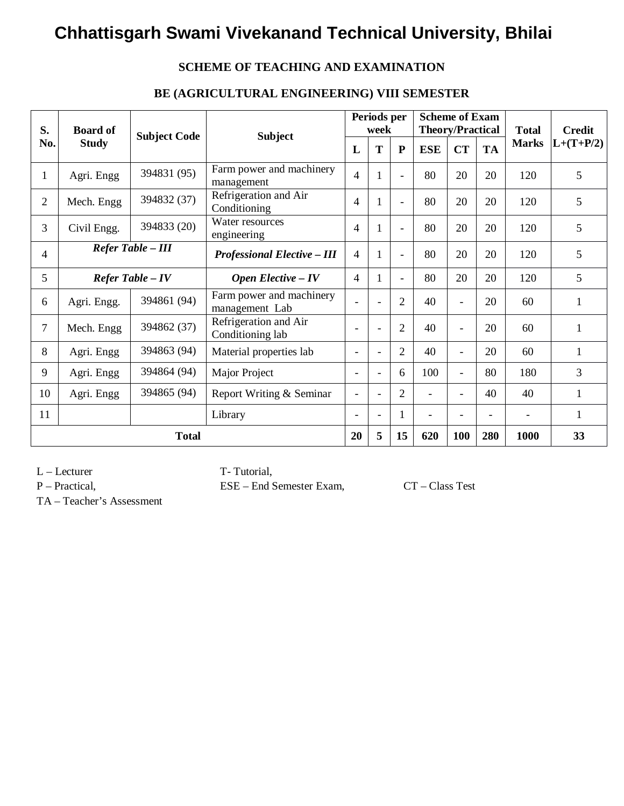### **SCHEME OF TEACHING AND EXAMINATION**

### **BE (AGRICULTURAL ENGINEERING) VIII SEMESTER**

| S.             | <b>Board of</b>                                              |                     | <b>Subject</b>                             |                          | Periods per<br>week      |                | <b>Scheme of Exam</b><br><b>Theory/Practical</b> |                          |                          | <b>Total</b>             | <b>Credit</b> |
|----------------|--------------------------------------------------------------|---------------------|--------------------------------------------|--------------------------|--------------------------|----------------|--------------------------------------------------|--------------------------|--------------------------|--------------------------|---------------|
| No.            | <b>Study</b>                                                 | <b>Subject Code</b> | L                                          |                          | T                        | ${\bf P}$      | <b>ESE</b>                                       | <b>CT</b>                | <b>TA</b>                | <b>Marks</b>             | $L+(T+P/2)$   |
| $\mathbf{1}$   | Agri. Engg                                                   | 394831 (95)         | Farm power and machinery<br>management     |                          |                          |                | 80                                               | 20                       | 20                       | 120                      | 5             |
| $\overline{2}$ | Mech. Engg                                                   | 394832 (37)         | Refrigeration and Air<br>Conditioning      | $\overline{4}$           |                          |                | 80                                               | 20                       | 20                       | 120                      | 5             |
| 3              | Water resources<br>394833 (20)<br>Civil Engg.<br>engineering |                     | $\overline{4}$                             |                          |                          | 80             | 20                                               | 20                       | 120                      | 5                        |               |
| $\overline{4}$ | Refer Table - III                                            |                     | <b>Professional Elective - III</b>         | $\overline{4}$           |                          | $\blacksquare$ | 80                                               | 20                       | 20                       | 120                      | 5             |
| 5              | $Refer$ Table $-IV$                                          |                     | <b>Open Elective - IV</b>                  | $\overline{4}$           |                          | $\blacksquare$ | 80                                               | 20                       | 20                       | 120                      | 5             |
| 6              | Agri. Engg.                                                  | 394861 (94)         | Farm power and machinery<br>management Lab |                          |                          | $\overline{2}$ | 40                                               | $\blacksquare$           | 20                       | 60                       | 1             |
| $\overline{7}$ | Mech. Engg                                                   | 394862 (37)         | Refrigeration and Air<br>Conditioning lab  |                          | ۰                        | $\overline{2}$ | 40                                               | $\overline{\phantom{0}}$ | 20                       | 60                       | 1             |
| 8              | Agri. Engg                                                   | 394863 (94)         | Material properties lab                    | ۰                        |                          | $\overline{2}$ | 40                                               | $\blacksquare$           | 20                       | 60                       | 1             |
| 9              | Agri. Engg                                                   | 394864 (94)         | Major Project                              | $\overline{\phantom{a}}$ | $\blacksquare$           | 6              | 100                                              | $\overline{\phantom{a}}$ | 80                       | 180                      | 3             |
| 10             | Agri. Engg                                                   | 394865 (94)         | Report Writing & Seminar                   |                          | $\overline{\phantom{a}}$ | $\overline{2}$ | $\overline{\phantom{0}}$                         | $\overline{\phantom{0}}$ | 40                       | 40                       | 1             |
| 11             |                                                              |                     | Library                                    | $\overline{\phantom{0}}$ | $\blacksquare$           | 1              |                                                  |                          | $\overline{\phantom{a}}$ | $\overline{\phantom{a}}$ | 1             |
|                | <b>Total</b>                                                 |                     |                                            | 20                       | 5                        | 15             | 620                                              | <b>100</b>               | 280                      | 1000                     | 33            |

L – Lecturer T- Tutorial,

P – Practical, ESE – End Semester Exam, CT – Class Test

TA – Teacher's Assessment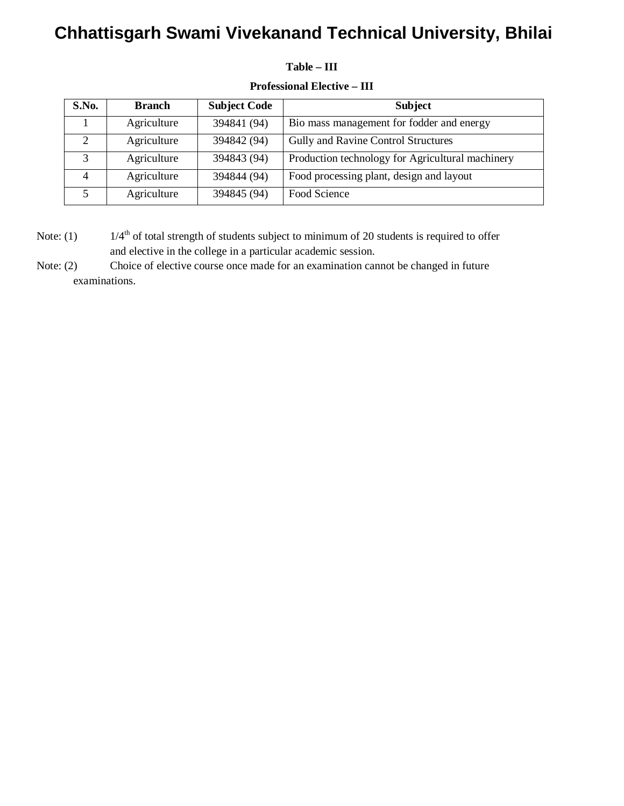#### **Table – III**

| S.No.             | <b>Subject Code</b><br><b>Branch</b> |             | <b>Subject</b>                                   |
|-------------------|--------------------------------------|-------------|--------------------------------------------------|
|                   | Agriculture                          | 394841 (94) | Bio mass management for fodder and energy        |
| ◠                 | Agriculture                          | 394842 (94) | Gully and Ravine Control Structures              |
| $\mathbf{\Omega}$ | Agriculture                          | 394843 (94) | Production technology for Agricultural machinery |
|                   | Agriculture                          | 394844 (94) | Food processing plant, design and layout         |
|                   | Agriculture                          | 394845 (94) | Food Science                                     |

#### **Professional Elective – III**

Note: (1)  $1/4^{\text{th}}$  of total strength of students subject to minimum of 20 students is required to offer and elective in the college in a particular academic session.

Note: (2) Choice of elective course once made for an examination cannot be changed in future examinations.